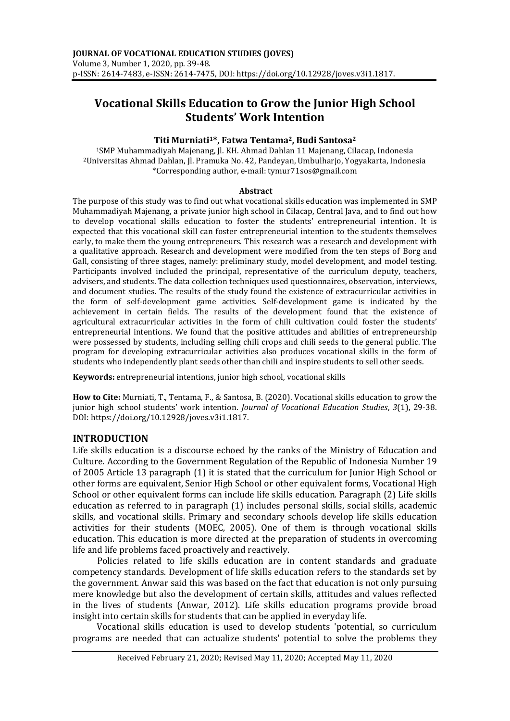# **Vocational Skills Education to Grow the Junior High School Students' Work Intention**

# **Titi Murniati1\*, Fatwa Tentama2, Budi Santosa<sup>2</sup>**

<sup>1</sup>SMP Muhammadiyah Majenang, Jl. KH. Ahmad Dahlan 11 Majenang, Cilacap, Indonesia <sup>2</sup>Universitas Ahmad Dahlan, Jl. Pramuka No. 42, Pandeyan, Umbulharjo, Yogyakarta, Indonesia \*Corresponding author, e-mail: tymur71sos@gmail.com

#### **Abstract**

The purpose of this study was to find out what vocational skills education was implemented in SMP Muhammadiyah Majenang, a private junior high school in Cilacap, Central Java, and to find out how to develop vocational skills education to foster the students' entrepreneurial intention. It is expected that this vocational skill can foster entrepreneurial intention to the students themselves early, to make them the young entrepreneurs. This research was a research and development with a qualitative approach. Research and development were modified from the ten steps of Borg and Gall, consisting of three stages, namely: preliminary study, model development, and model testing. Participants involved included the principal, representative of the curriculum deputy, teachers, advisers, and students. The data collection techniques used questionnaires, observation, interviews, and document studies. The results of the study found the existence of extracurricular activities in the form of self-development game activities. Self-development game is indicated by the achievement in certain fields. The results of the development found that the existence of agricultural extracurricular activities in the form of chili cultivation could foster the students' entrepreneurial intentions. We found that the positive attitudes and abilities of entrepreneurship were possessed by students, including selling chili crops and chili seeds to the general public. The program for developing extracurricular activities also produces vocational skills in the form of students who independently plant seeds other than chili and inspire students to sell other seeds.

**Keywords:** entrepreneurial intentions, junior high school, vocational skills

**How to Cite:** Murniati, T., Tentama, F., & Santosa, B. (2020). Vocational skills education to grow the junior high school students' work intention. *Journal of Vocational Education Studies*, *3*(1), 29-38. DOI: https://doi.org/10.12928/joves.v3i1.1817.

## **INTRODUCTION**

Life skills education is a discourse echoed by the ranks of the Ministry of Education and Culture. According to the Government Regulation of the Republic of Indonesia Number 19 of 2005 Article 13 paragraph (1) it is stated that the curriculum for Junior High School or other forms are equivalent, Senior High School or other equivalent forms, Vocational High School or other equivalent forms can include life skills education. Paragraph (2) Life skills education as referred to in paragraph (1) includes personal skills, social skills, academic skills, and vocational skills. Primary and secondary schools develop life skills education activities for their students (MOEC, 2005). One of them is through vocational skills education. This education is more directed at the preparation of students in overcoming life and life problems faced proactively and reactively.

Policies related to life skills education are in content standards and graduate competency standards. Development of life skills education refers to the standards set by the government. Anwar said this was based on the fact that education is not only pursuing mere knowledge but also the development of certain skills, attitudes and values reflected in the lives of students (Anwar, 2012). Life skills education programs provide broad insight into certain skills for students that can be applied in everyday life.

Vocational skills education is used to develop students 'potential, so curriculum programs are needed that can actualize students' potential to solve the problems they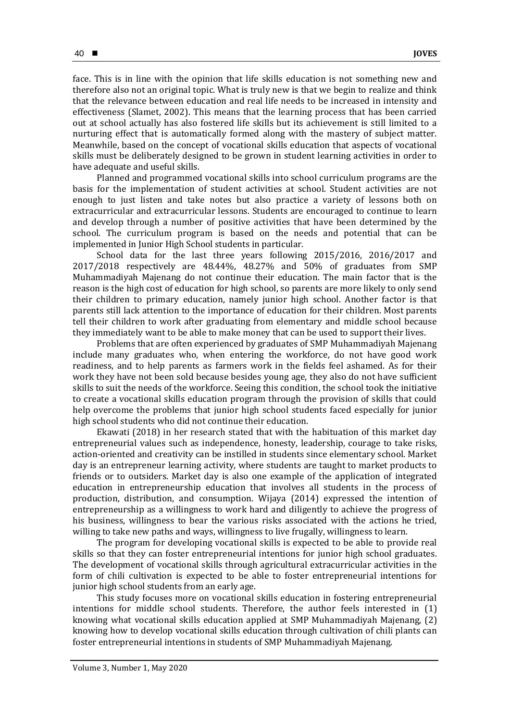face. This is in line with the opinion that life skills education is not something new and therefore also not an original topic. What is truly new is that we begin to realize and think that the relevance between education and real life needs to be increased in intensity and effectiveness (Slamet, 2002). This means that the learning process that has been carried out at school actually has also fostered life skills but its achievement is still limited to a nurturing effect that is automatically formed along with the mastery of subject matter. Meanwhile, based on the concept of vocational skills education that aspects of vocational skills must be deliberately designed to be grown in student learning activities in order to have adequate and useful skills.

Planned and programmed vocational skills into school curriculum programs are the basis for the implementation of student activities at school. Student activities are not enough to just listen and take notes but also practice a variety of lessons both on extracurricular and extracurricular lessons. Students are encouraged to continue to learn and develop through a number of positive activities that have been determined by the school. The curriculum program is based on the needs and potential that can be implemented in Junior High School students in particular.

School data for the last three years following 2015/2016, 2016/2017 and 2017/2018 respectively are 48.44%, 48.27% and 50% of graduates from SMP Muhammadiyah Majenang do not continue their education. The main factor that is the reason is the high cost of education for high school, so parents are more likely to only send their children to primary education, namely junior high school. Another factor is that parents still lack attention to the importance of education for their children. Most parents tell their children to work after graduating from elementary and middle school because they immediately want to be able to make money that can be used to support their lives.

Problems that are often experienced by graduates of SMP Muhammadiyah Majenang include many graduates who, when entering the workforce, do not have good work readiness, and to help parents as farmers work in the fields feel ashamed. As for their work they have not been sold because besides young age, they also do not have sufficient skills to suit the needs of the workforce. Seeing this condition, the school took the initiative to create a vocational skills education program through the provision of skills that could help overcome the problems that junior high school students faced especially for junior high school students who did not continue their education.

Ekawati (2018) in her research stated that with the habituation of this market day entrepreneurial values such as independence, honesty, leadership, courage to take risks, action-oriented and creativity can be instilled in students since elementary school. Market day is an entrepreneur learning activity, where students are taught to market products to friends or to outsiders. Market day is also one example of the application of integrated education in entrepreneurship education that involves all students in the process of production, distribution, and consumption. Wijaya (2014) expressed the intention of entrepreneurship as a willingness to work hard and diligently to achieve the progress of his business, willingness to bear the various risks associated with the actions he tried, willing to take new paths and ways, willingness to live frugally, willingness to learn.

The program for developing vocational skills is expected to be able to provide real skills so that they can foster entrepreneurial intentions for junior high school graduates. The development of vocational skills through agricultural extracurricular activities in the form of chili cultivation is expected to be able to foster entrepreneurial intentions for junior high school students from an early age.

This study focuses more on vocational skills education in fostering entrepreneurial intentions for middle school students. Therefore, the author feels interested in (1) knowing what vocational skills education applied at SMP Muhammadiyah Majenang, (2) knowing how to develop vocational skills education through cultivation of chili plants can foster entrepreneurial intentions in students of SMP Muhammadiyah Majenang.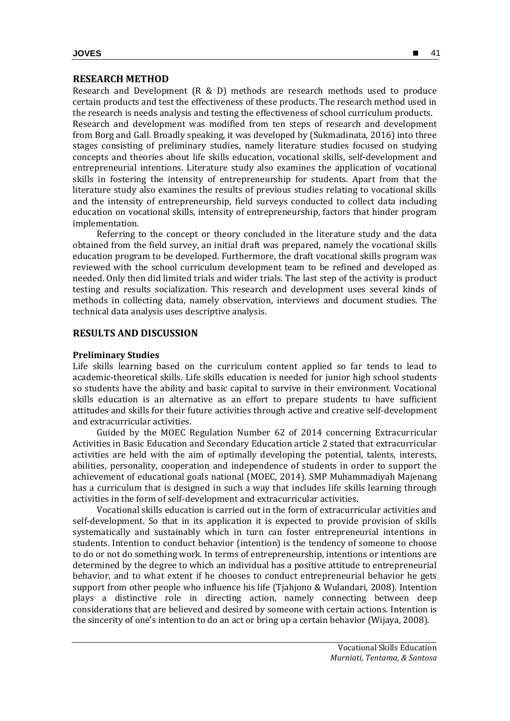# **RESEARCH METHOD**

Research and Development (R & D) methods are research methods used to produce certain products and test the effectiveness of these products. The research method used in the research is needs analysis and testing the effectiveness of school curriculum products. Research and development was modified from ten steps of research and development from Borg and Gall. Broadly speaking, it was developed by (Sukmadinata, 2016) into three stages consisting of preliminary studies, namely literature studies focused on studying concepts and theories about life skills education, vocational skills, self-development and entrepreneurial intentions. Literature study also examines the application of vocational skills in fostering the intensity of entrepreneurship for students. Apart from that the literature study also examines the results of previous studies relating to vocational skills and the intensity of entrepreneurship, field surveys conducted to collect data including education on vocational skills, intensity of entrepreneurship, factors that hinder program implementation.

Referring to the concept or theory concluded in the literature study and the data obtained from the field survey, an initial draft was prepared, namely the vocational skills education program to be developed. Furthermore, the draft vocational skills program was reviewed with the school curriculum development team to be refined and developed as needed. Only then did limited trials and wider trials. The last step of the activity is product testing and results socialization. This research and development uses several kinds of methods in collecting data, namely observation, interviews and document studies. The technical data analysis uses descriptive analysis.

### **RESULTS AND DISCUSSION**

#### **Preliminary Studies**

Life skills learning based on the curriculum content applied so far tends to lead to academic-theoretical skills. Life skills education is needed for junior high school students so students have the ability and basic capital to survive in their environment. Vocational skills education is an alternative as an effort to prepare students to have sufficient attitudes and skills for their future activities through active and creative self-development and extracurricular activities.

Guided by the MOEC Regulation Number 62 of 2014 concerning Extracurricular Activities in Basic Education and Secondary Education article 2 stated that extracurricular activities are held with the aim of optimally developing the potential, talents, interests, abilities, personality, cooperation and independence of students in order to support the achievement of educational goals national (MOEC, 2014). SMP Muhammadiyah Majenang has a curriculum that is designed in such a way that includes life skills learning through activities in the form of self-development and extracurricular activities.

Vocational skills education is carried out in the form of extracurricular activities and self-development. So that in its application it is expected to provide provision of skills systematically and sustainably which in turn can foster entrepreneurial intentions in students. Intention to conduct behavior (intention) is the tendency of someone to choose to do or not do something work. In terms of entrepreneurship, intentions or intentions are determined by the degree to which an individual has a positive attitude to entrepreneurial behavior, and to what extent if he chooses to conduct entrepreneurial behavior he gets support from other people who influence his life (Tjahjono & Wulandari, 2008). Intention plays a distinctive role in directing action, namely connecting between deep considerations that are believed and desired by someone with certain actions. Intention is the sincerity of one's intention to do an act or bring up a certain behavior (Wijaya, 2008).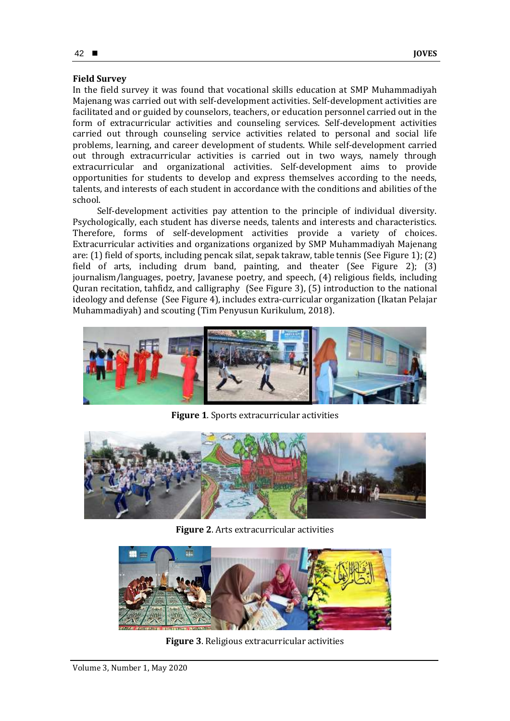# **Field Survey**

In the field survey it was found that vocational skills education at SMP Muhammadiyah Majenang was carried out with self-development activities. Self-development activities are facilitated and or guided by counselors, teachers, or education personnel carried out in the form of extracurricular activities and counseling services. Self-development activities carried out through counseling service activities related to personal and social life problems, learning, and career development of students. While self-development carried out through extracurricular activities is carried out in two ways, namely through extracurricular and organizational activities. Self-development aims to provide opportunities for students to develop and express themselves according to the needs, talents, and interests of each student in accordance with the conditions and abilities of the school.

Self-development activities pay attention to the principle of individual diversity. Psychologically, each student has diverse needs, talents and interests and characteristics. Therefore, forms of self-development activities provide a variety of choices. Extracurricular activities and organizations organized by SMP Muhammadiyah Majenang are: (1) field of sports, including pencak silat, sepak takraw, table tennis (See Figure 1); (2) field of arts, including drum band, painting, and theater (See Figure 2); (3) journalism/languages, poetry, Javanese poetry, and speech, (4) religious fields, including Quran recitation, tahfidz, and calligraphy (See Figure 3), (5) introduction to the national ideology and defense (See Figure 4), includes extra-curricular organization (Ikatan Pelajar Muhammadiyah) and scouting (Tim Penyusun Kurikulum, 2018).



**Figure 1**. Sports extracurricular activities



**Figure 2**. Arts extracurricular activities



**Figure 3**. Religious extracurricular activities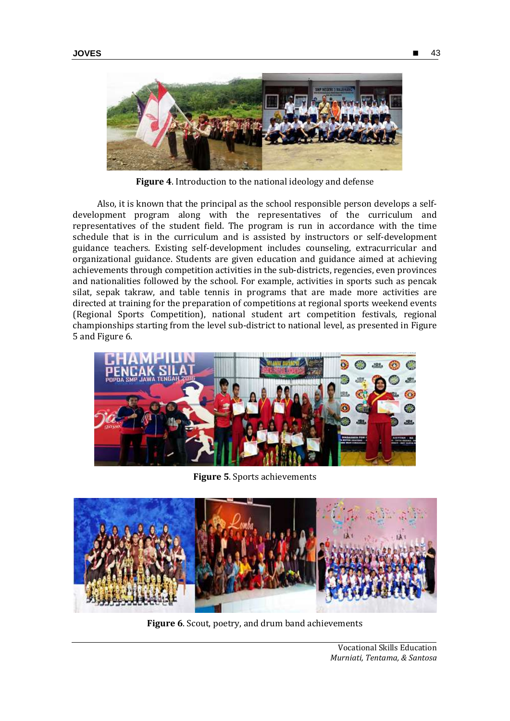

**Figure 4**. Introduction to the national ideology and defense

Also, it is known that the principal as the school responsible person develops a selfdevelopment program along with the representatives of the curriculum and representatives of the student field. The program is run in accordance with the time schedule that is in the curriculum and is assisted by instructors or self-development guidance teachers. Existing self-development includes counseling, extracurricular and organizational guidance. Students are given education and guidance aimed at achieving achievements through competition activities in the sub-districts, regencies, even provinces and nationalities followed by the school. For example, activities in sports such as pencak silat, sepak takraw, and table tennis in programs that are made more activities are directed at training for the preparation of competitions at regional sports weekend events (Regional Sports Competition), national student art competition festivals, regional championships starting from the level sub-district to national level, as presented in Figure 5 and Figure 6.



**Figure 5**. Sports achievements



**Figure 6**. Scout, poetry, and drum band achievements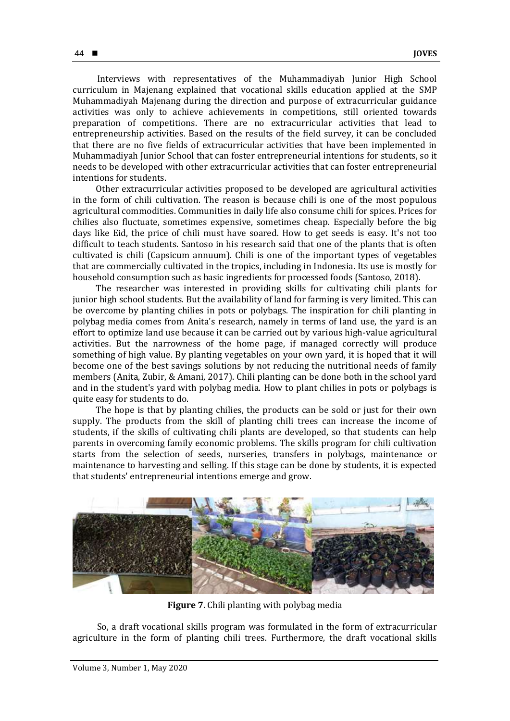Interviews with representatives of the Muhammadiyah Junior High School curriculum in Majenang explained that vocational skills education applied at the SMP Muhammadiyah Majenang during the direction and purpose of extracurricular guidance activities was only to achieve achievements in competitions, still oriented towards preparation of competitions. There are no extracurricular activities that lead to entrepreneurship activities. Based on the results of the field survey, it can be concluded that there are no five fields of extracurricular activities that have been implemented in Muhammadiyah Junior School that can foster entrepreneurial intentions for students, so it needs to be developed with other extracurricular activities that can foster entrepreneurial intentions for students.

Other extracurricular activities proposed to be developed are agricultural activities in the form of chili cultivation. The reason is because chili is one of the most populous agricultural commodities. Communities in daily life also consume chili for spices. Prices for chilies also fluctuate, sometimes expensive, sometimes cheap. Especially before the big days like Eid, the price of chili must have soared. How to get seeds is easy. It's not too difficult to teach students. Santoso in his research said that one of the plants that is often cultivated is chili (Capsicum annuum). Chili is one of the important types of vegetables that are commercially cultivated in the tropics, including in Indonesia. Its use is mostly for household consumption such as basic ingredients for processed foods (Santoso, 2018).

The researcher was interested in providing skills for cultivating chili plants for junior high school students. But the availability of land for farming is very limited. This can be overcome by planting chilies in pots or polybags. The inspiration for chili planting in polybag media comes from Anita's research, namely in terms of land use, the yard is an effort to optimize land use because it can be carried out by various high-value agricultural activities. But the narrowness of the home page, if managed correctly will produce something of high value. By planting vegetables on your own yard, it is hoped that it will become one of the best savings solutions by not reducing the nutritional needs of family members (Anita, Zubir, & Amani, 2017). Chili planting can be done both in the school yard and in the student's yard with polybag media. How to plant chilies in pots or polybags is quite easy for students to do.

The hope is that by planting chilies, the products can be sold or just for their own supply. The products from the skill of planting chili trees can increase the income of students, if the skills of cultivating chili plants are developed, so that students can help parents in overcoming family economic problems. The skills program for chili cultivation starts from the selection of seeds, nurseries, transfers in polybags, maintenance or maintenance to harvesting and selling. If this stage can be done by students, it is expected that students' entrepreneurial intentions emerge and grow.



**Figure 7**. Chili planting with polybag media

So, a draft vocational skills program was formulated in the form of extracurricular agriculture in the form of planting chili trees. Furthermore, the draft vocational skills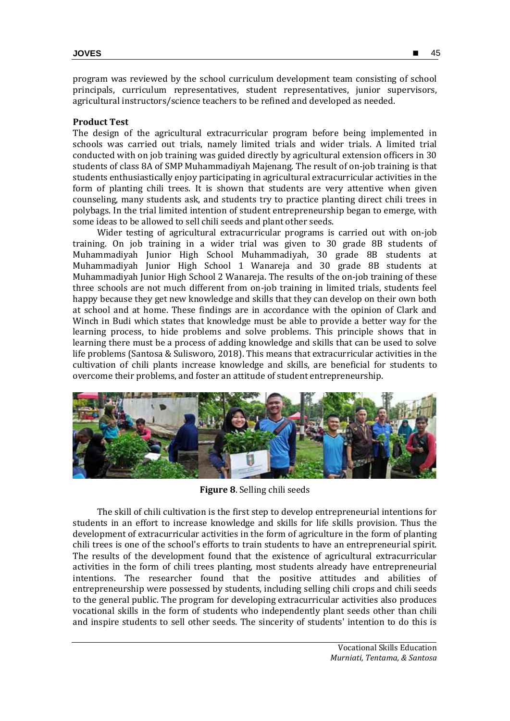program was reviewed by the school curriculum development team consisting of school principals, curriculum representatives, student representatives, junior supervisors, agricultural instructors/science teachers to be refined and developed as needed.

## **Product Test**

The design of the agricultural extracurricular program before being implemented in schools was carried out trials, namely limited trials and wider trials. A limited trial conducted with on job training was guided directly by agricultural extension officers in 30 students of class 8A of SMP Muhammadiyah Majenang. The result of on-job training is that students enthusiastically enjoy participating in agricultural extracurricular activities in the form of planting chili trees. It is shown that students are very attentive when given counseling, many students ask, and students try to practice planting direct chili trees in polybags. In the trial limited intention of student entrepreneurship began to emerge, with some ideas to be allowed to sell chili seeds and plant other seeds.

Wider testing of agricultural extracurricular programs is carried out with on-job training. On job training in a wider trial was given to 30 grade 8B students of Muhammadiyah Junior High School Muhammadiyah, 30 grade 8B students at Muhammadiyah Junior High School 1 Wanareja and 30 grade 8B students at Muhammadiyah Junior High School 2 Wanareja. The results of the on-job training of these three schools are not much different from on-job training in limited trials, students feel happy because they get new knowledge and skills that they can develop on their own both at school and at home. These findings are in accordance with the opinion of Clark and Winch in Budi which states that knowledge must be able to provide a better way for the learning process, to hide problems and solve problems. This principle shows that in learning there must be a process of adding knowledge and skills that can be used to solve life problems (Santosa & Sulisworo, 2018). This means that extracurricular activities in the cultivation of chili plants increase knowledge and skills, are beneficial for students to overcome their problems, and foster an attitude of student entrepreneurship.



**Figure 8**. Selling chili seeds

The skill of chili cultivation is the first step to develop entrepreneurial intentions for students in an effort to increase knowledge and skills for life skills provision. Thus the development of extracurricular activities in the form of agriculture in the form of planting chili trees is one of the school's efforts to train students to have an entrepreneurial spirit. The results of the development found that the existence of agricultural extracurricular activities in the form of chili trees planting, most students already have entrepreneurial intentions. The researcher found that the positive attitudes and abilities of entrepreneurship were possessed by students, including selling chili crops and chili seeds to the general public. The program for developing extracurricular activities also produces vocational skills in the form of students who independently plant seeds other than chili and inspire students to sell other seeds. The sincerity of students' intention to do this is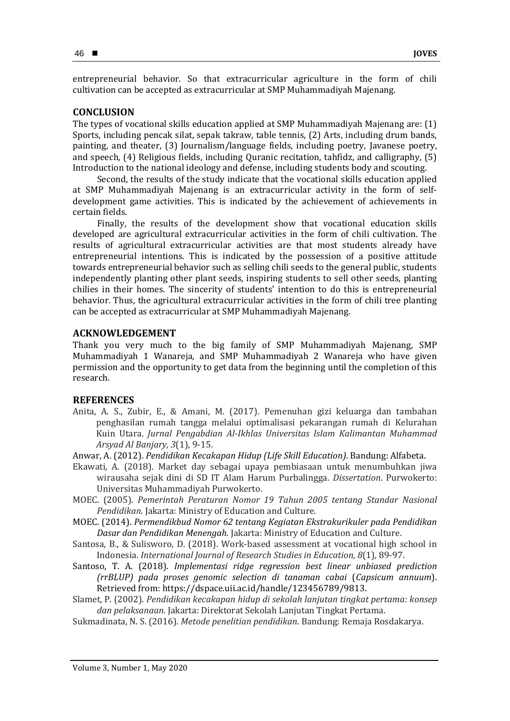entrepreneurial behavior. So that extracurricular agriculture in the form of chili cultivation can be accepted as extracurricular at SMP Muhammadiyah Majenang.

#### **CONCLUSION**

The types of vocational skills education applied at SMP Muhammadiyah Majenang are: (1) Sports, including pencak silat, sepak takraw, table tennis, (2) Arts, including drum bands, painting, and theater, (3) Journalism/language fields, including poetry, Javanese poetry, and speech, (4) Religious fields, including Quranic recitation, tahfidz, and calligraphy, (5) Introduction to the national ideology and defense, including students body and scouting.

Second, the results of the study indicate that the vocational skills education applied at SMP Muhammadiyah Majenang is an extracurricular activity in the form of selfdevelopment game activities. This is indicated by the achievement of achievements in certain fields.

Finally, the results of the development show that vocational education skills developed are agricultural extracurricular activities in the form of chili cultivation. The results of agricultural extracurricular activities are that most students already have entrepreneurial intentions. This is indicated by the possession of a positive attitude towards entrepreneurial behavior such as selling chili seeds to the general public, students independently planting other plant seeds, inspiring students to sell other seeds, planting chilies in their homes. The sincerity of students' intention to do this is entrepreneurial behavior. Thus, the agricultural extracurricular activities in the form of chili tree planting can be accepted as extracurricular at SMP Muhammadiyah Majenang.

## **ACKNOWLEDGEMENT**

Thank you very much to the big family of SMP Muhammadiyah Majenang, SMP Muhammadiyah 1 Wanareja, and SMP Muhammadiyah 2 Wanareja who have given permission and the opportunity to get data from the beginning until the completion of this research.

## **REFERENCES**

Anita, A. S., Zubir, E., & Amani, M. (2017). Pemenuhan gizi keluarga dan tambahan penghasilan rumah tangga melalui optimalisasi pekarangan rumah di Kelurahan Kuin Utara. *Jurnal Pengabdian Al-Ikhlas Universitas Islam Kalimantan Muhammad Arsyad Al Banjary, 3*(1), 9-15.

Anwar, A. (2012). *Pendidikan Kecakapan Hidup (Life Skill Education)*. Bandung: Alfabeta.

- Ekawati, A. (2018). Market day sebagai upaya pembiasaan untuk menumbuhkan jiwa wirausaha sejak dini di SD IT Alam Harum Purbalingga. *Dissertation*. Purwokerto: Universitas Muhammadiyah Purwokerto.
- MOEC. (2005). *Pemerintah Peraturan Nomor 19 Tahun 2005 tentang Standar Nasional Pendidikan*. Jakarta: Ministry of Education and Culture.
- MOEC. (2014). *Permendikbud Nomor 62 tentang Kegiatan Ekstrakurikuler pada Pendidikan Dasar dan Pendidikan Menengah*. Jakarta: Ministry of Education and Culture.
- Santosa, B., & Sulisworo, D. (2018). Work-based assessment at vocational high school in Indonesia. *International Journal of Research Studies in Education, 8*(1)*,* 89-97.
- Santoso, T. A. (2018). *Implementasi ridge regression best linear unbiased prediction (rrBLUP) pada proses genomic selection di tanaman cabai* (*Capsicum annuum*). Retrieved from: https://dspace.uii.ac.id/handle/123456789/9813.
- Slamet, P. (2002). *Pendidikan kecakapan hidup di sekolah lanjutan tingkat pertama: konsep dan pelaksanaan*. Jakarta: Direktorat Sekolah Lanjutan Tingkat Pertama.
- Sukmadinata, N. S. (2016). *Metode penelitian pendidikan*. Bandung: Remaja Rosdakarya.